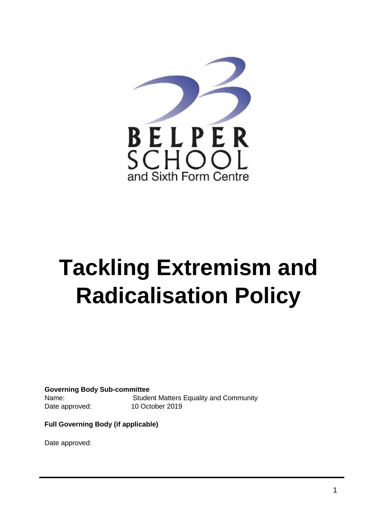

# **Tackling Extremism and Radicalisation Policy**

**Governing Body Sub-committee**  Name: Student Matters Equality and Community Date approved: 10 October 2019

**Full Governing Body (if applicable)** 

Date approved: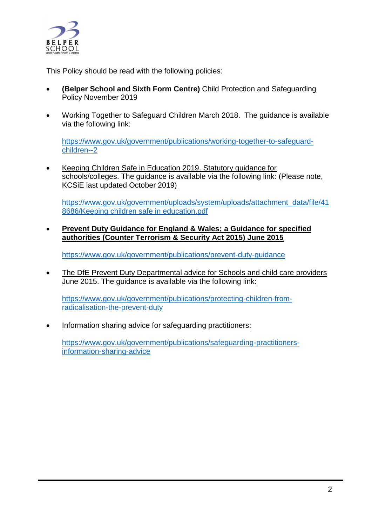

This Policy should be read with the following policies:

- **(Belper School and Sixth Form Centre)** Child Protection and Safeguarding Policy November 2019
- Working Together to Safeguard Children March 2018. The guidance is available via the following link:

[https://www.gov.uk/government/publications/working-together-to-safeguard](https://www.gov.uk/government/publications/working-together-to-safeguard-children--2)[children--2](https://www.gov.uk/government/publications/working-together-to-safeguard-children--2)

• Keeping Children Safe in Education 2019. Statutory guidance for schools/colleges. The guidance is available via the following link: (Please note, KCSiE last updated October 2019)

[https://www.gov.uk/government/uploads/system/uploads/attachment\\_data/file/41](https://www.gov.uk/government/uploads/system/uploads/attachment_data/file/418686/Keeping%20children%20safe%20in%20education.pdf) [8686/Keeping children safe in education.pdf](https://www.gov.uk/government/uploads/system/uploads/attachment_data/file/418686/Keeping%20children%20safe%20in%20education.pdf)

 **Prevent Duty Guidance for England & Wales; a Guidance for specified authorities (Counter Terrorism & Security Act 2015) June 2015**

<https://www.gov.uk/government/publications/prevent-duty-guidance>

• The DfE Prevent Duty Departmental advice for Schools and child care providers June 2015. The guidance is available via the following link:

[https://www.gov.uk/government/publications/protecting-children-from](https://www.gov.uk/government/publications/protecting-children-from-radicalisation-the-prevent-duty)[radicalisation-the-prevent-duty](https://www.gov.uk/government/publications/protecting-children-from-radicalisation-the-prevent-duty)

Information sharing advice for safeguarding practitioners:

[https://www.gov.uk/government/publications/safeguarding-practitioners](https://www.gov.uk/government/publications/safeguarding-practitioners-information-sharing-advice)[information-sharing-advice](https://www.gov.uk/government/publications/safeguarding-practitioners-information-sharing-advice)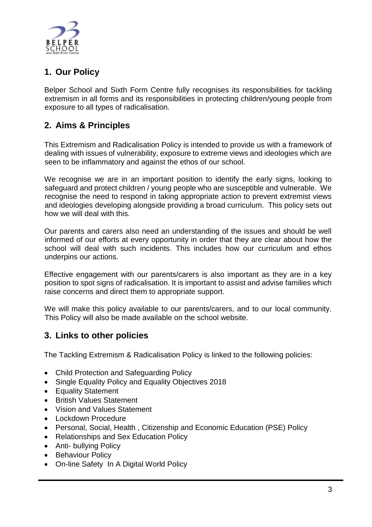

# **1. Our Policy**

Belper School and Sixth Form Centre fully recognises its responsibilities for tackling extremism in all forms and its responsibilities in protecting children/young people from exposure to all types of radicalisation.

# **2. Aims & Principles**

This Extremism and Radicalisation Policy is intended to provide us with a framework of dealing with issues of vulnerability, exposure to extreme views and ideologies which are seen to be inflammatory and against the ethos of our school.

We recognise we are in an important position to identify the early signs, looking to safeguard and protect children / young people who are susceptible and vulnerable. We recognise the need to respond in taking appropriate action to prevent extremist views and ideologies developing alongside providing a broad curriculum. This policy sets out how we will deal with this.

Our parents and carers also need an understanding of the issues and should be well informed of our efforts at every opportunity in order that they are clear about how the school will deal with such incidents. This includes how our curriculum and ethos underpins our actions.

Effective engagement with our parents/carers is also important as they are in a key position to spot signs of radicalisation. It is important to assist and advise families which raise concerns and direct them to appropriate support.

We will make this policy available to our parents/carers, and to our local community. This Policy will also be made available on the school website.

## **3. Links to other policies**

The Tackling Extremism & Radicalisation Policy is linked to the following policies:

- Child Protection and Safeguarding Policy
- Single Equality Policy and Equality Objectives 2018
- Equality Statement
- British Values Statement
- Vision and Values Statement
- Lockdown Procedure
- Personal, Social, Health , Citizenship and Economic Education (PSE) Policy
- Relationships and Sex Education Policy
- Anti- bullying Policy
- Behaviour Policy
- On-line Safety In A Digital World Policy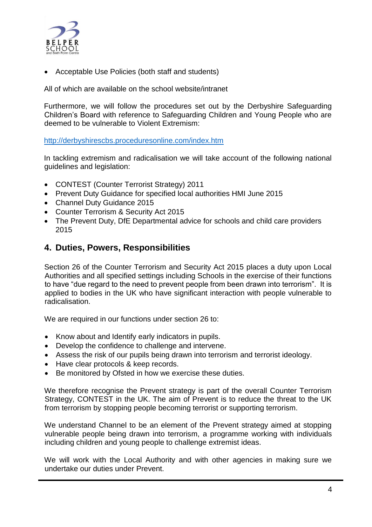

Acceptable Use Policies (both staff and students)

All of which are available on the school website/intranet

Furthermore, we will follow the procedures set out by the Derbyshire Safeguarding Children's Board with reference to Safeguarding Children and Young People who are deemed to be vulnerable to Violent Extremism:

<http://derbyshirescbs.proceduresonline.com/index.htm>

In tackling extremism and radicalisation we will take account of the following national guidelines and legislation:

- CONTEST (Counter Terrorist Strategy) 2011
- Prevent Duty Guidance for specified local authorities HMI June 2015
- Channel Duty Guidance 2015
- Counter Terrorism & Security Act 2015
- The Prevent Duty, DfE Departmental advice for schools and child care providers 2015

## **4. Duties, Powers, Responsibilities**

Section 26 of the Counter Terrorism and Security Act 2015 places a duty upon Local Authorities and all specified settings including Schools in the exercise of their functions to have "due regard to the need to prevent people from been drawn into terrorism". It is applied to bodies in the UK who have significant interaction with people vulnerable to radicalisation.

We are required in our functions under section 26 to:

- Know about and Identify early indicators in pupils.
- Develop the confidence to challenge and intervene.
- Assess the risk of our pupils being drawn into terrorism and terrorist ideology.
- Have clear protocols & keep records.
- Be monitored by Ofsted in how we exercise these duties.

We therefore recognise the Prevent strategy is part of the overall Counter Terrorism Strategy, CONTEST in the UK. The aim of Prevent is to reduce the threat to the UK from terrorism by stopping people becoming terrorist or supporting terrorism.

We understand Channel to be an element of the Prevent strategy aimed at stopping vulnerable people being drawn into terrorism, a programme working with individuals including children and young people to challenge extremist ideas.

We will work with the Local Authority and with other agencies in making sure we undertake our duties under Prevent.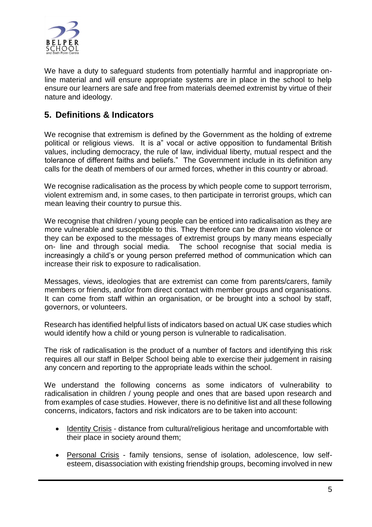

We have a duty to safeguard students from potentially harmful and inappropriate online material and will ensure appropriate systems are in place in the school to help ensure our learners are safe and free from materials deemed extremist by virtue of their nature and ideology.

## **5. Definitions & Indicators**

We recognise that extremism is defined by the Government as the holding of extreme political or religious views. It is a" vocal or active opposition to fundamental British values, including democracy, the rule of law, individual liberty, mutual respect and the tolerance of different faiths and beliefs." The Government include in its definition any calls for the death of members of our armed forces, whether in this country or abroad.

We recognise radicalisation as the process by which people come to support terrorism, violent extremism and, in some cases, to then participate in terrorist groups, which can mean leaving their country to pursue this.

We recognise that children / young people can be enticed into radicalisation as they are more vulnerable and susceptible to this. They therefore can be drawn into violence or they can be exposed to the messages of extremist groups by many means especially on- line and through social media. The school recognise that social media is increasingly a child's or young person preferred method of communication which can increase their risk to exposure to radicalisation.

Messages, views, ideologies that are extremist can come from parents/carers, family members or friends, and/or from direct contact with member groups and organisations. It can come from staff within an organisation, or be brought into a school by staff, governors, or volunteers.

Research has identified helpful lists of indicators based on actual UK case studies which would identify how a child or young person is vulnerable to radicalisation.

The risk of radicalisation is the product of a number of factors and identifying this risk requires all our staff in Belper School being able to exercise their judgement in raising any concern and reporting to the appropriate leads within the school.

We understand the following concerns as some indicators of vulnerability to radicalisation in children / young people and ones that are based upon research and from examples of case studies. However, there is no definitive list and all these following concerns, indicators, factors and risk indicators are to be taken into account:

- Identity Crisis distance from cultural/religious heritage and uncomfortable with their place in society around them;
- Personal Crisis family tensions, sense of isolation, adolescence, low selfesteem, disassociation with existing friendship groups, becoming involved in new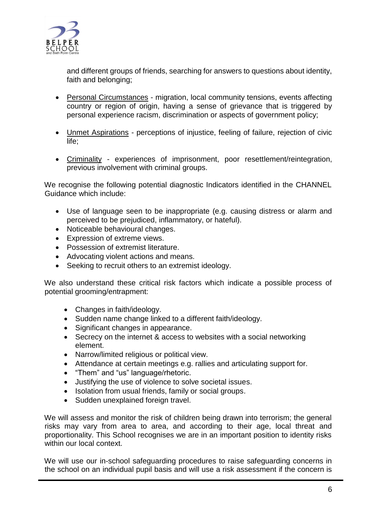

and different groups of friends, searching for answers to questions about identity, faith and belonging;

- Personal Circumstances migration, local community tensions, events affecting country or region of origin, having a sense of grievance that is triggered by personal experience racism, discrimination or aspects of government policy;
- Unmet Aspirations perceptions of injustice, feeling of failure, rejection of civic life;
- Criminality experiences of imprisonment, poor resettlement/reintegration, previous involvement with criminal groups.

We recognise the following potential diagnostic Indicators identified in the CHANNEL Guidance which include:

- Use of language seen to be inappropriate (e.g. causing distress or alarm and perceived to be prejudiced, inflammatory, or hateful).
- Noticeable behavioural changes.
- Expression of extreme views.
- Possession of extremist literature.
- Advocating violent actions and means.
- Seeking to recruit others to an extremist ideology.

We also understand these critical risk factors which indicate a possible process of potential grooming/entrapment:

- Changes in faith/ideology.
- Sudden name change linked to a different faith/ideology.
- Significant changes in appearance.
- Secrecy on the internet & access to websites with a social networking element.
- Narrow/limited religious or political view.
- Attendance at certain meetings e.g. rallies and articulating support for.
- "Them" and "us" language/rhetoric.
- Justifying the use of violence to solve societal issues.
- Isolation from usual friends, family or social groups.
- Sudden unexplained foreign travel.

We will assess and monitor the risk of children being drawn into terrorism; the general risks may vary from area to area, and according to their age, local threat and proportionality. This School recognises we are in an important position to identity risks within our local context.

We will use our in-school safeguarding procedures to raise safeguarding concerns in the school on an individual pupil basis and will use a risk assessment if the concern is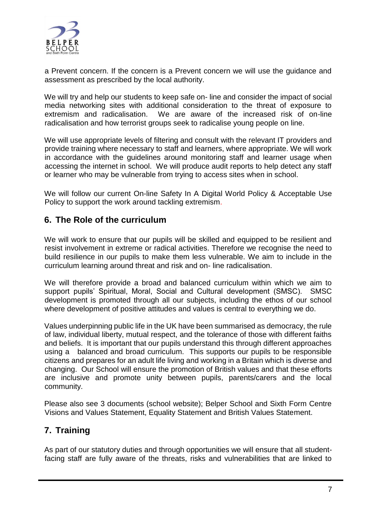

a Prevent concern. If the concern is a Prevent concern we will use the guidance and assessment as prescribed by the local authority.

We will try and help our students to keep safe on- line and consider the impact of social media networking sites with additional consideration to the threat of exposure to extremism and radicalisation. We are aware of the increased risk of on-line radicalisation and how terrorist groups seek to radicalise young people on line.

We will use appropriate levels of filtering and consult with the relevant IT providers and provide training where necessary to staff and learners, where appropriate. We will work in accordance with the guidelines around monitoring staff and learner usage when accessing the internet in school. We will produce audit reports to help detect any staff or learner who may be vulnerable from trying to access sites when in school.

We will follow our current On-line Safety In A Digital World Policy & Acceptable Use Policy to support the work around tackling extremism.

## **6. The Role of the curriculum**

We will work to ensure that our pupils will be skilled and equipped to be resilient and resist involvement in extreme or radical activities. Therefore we recognise the need to build resilience in our pupils to make them less vulnerable. We aim to include in the curriculum learning around threat and risk and on- line radicalisation.

We will therefore provide a broad and balanced curriculum within which we aim to support pupils' Spiritual, Moral, Social and Cultural development (SMSC). SMSC development is promoted through all our subjects, including the ethos of our school where development of positive attitudes and values is central to everything we do.

Values underpinning public life in the UK have been summarised as democracy, the rule of law, individual liberty, mutual respect, and the tolerance of those with different faiths and beliefs. It is important that our pupils understand this through different approaches using a balanced and broad curriculum. This supports our pupils to be responsible citizens and prepares for an adult life living and working in a Britain which is diverse and changing. Our School will ensure the promotion of British values and that these efforts are inclusive and promote unity between pupils, parents/carers and the local community.

Please also see 3 documents (school website); Belper School and Sixth Form Centre Visions and Values Statement, Equality Statement and British Values Statement.

# **7. Training**

As part of our statutory duties and through opportunities we will ensure that all studentfacing staff are fully aware of the threats, risks and vulnerabilities that are linked to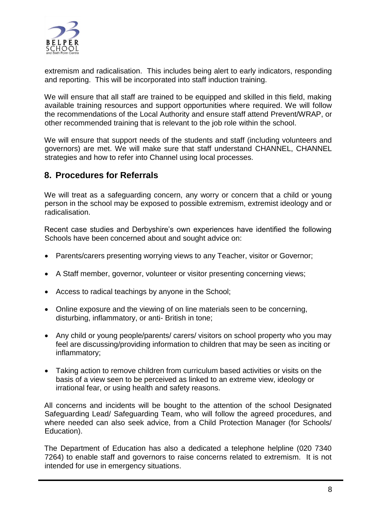

extremism and radicalisation. This includes being alert to early indicators, responding and reporting. This will be incorporated into staff induction training.

We will ensure that all staff are trained to be equipped and skilled in this field, making available training resources and support opportunities where required. We will follow the recommendations of the Local Authority and ensure staff attend Prevent/WRAP, or other recommended training that is relevant to the job role within the school.

We will ensure that support needs of the students and staff (including volunteers and governors) are met. We will make sure that staff understand CHANNEL, CHANNEL strategies and how to refer into Channel using local processes.

## **8. Procedures for Referrals**

We will treat as a safeguarding concern, any worry or concern that a child or young person in the school may be exposed to possible extremism, extremist ideology and or radicalisation.

Recent case studies and Derbyshire's own experiences have identified the following Schools have been concerned about and sought advice on:

- Parents/carers presenting worrying views to any Teacher, visitor or Governor;
- A Staff member, governor, volunteer or visitor presenting concerning views;
- Access to radical teachings by anyone in the School;
- Online exposure and the viewing of on line materials seen to be concerning, disturbing, inflammatory, or anti- British in tone;
- Any child or young people/parents/ carers/ visitors on school property who you may feel are discussing/providing information to children that may be seen as inciting or inflammatory;
- Taking action to remove children from curriculum based activities or visits on the basis of a view seen to be perceived as linked to an extreme view, ideology or irrational fear, or using health and safety reasons.

All concerns and incidents will be bought to the attention of the school Designated Safeguarding Lead/ Safeguarding Team, who will follow the agreed procedures, and where needed can also seek advice, from a Child Protection Manager (for Schools/ Education).

The Department of Education has also a dedicated a telephone helpline (020 7340 7264) to enable staff and governors to raise concerns related to extremism. It is not intended for use in emergency situations.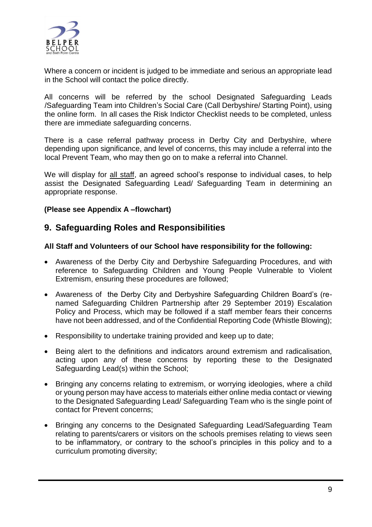

Where a concern or incident is judged to be immediate and serious an appropriate lead in the School will contact the police directly.

All concerns will be referred by the school Designated Safeguarding Leads /Safeguarding Team into Children's Social Care (Call Derbyshire/ Starting Point), using the online form. In all cases the Risk Indictor Checklist needs to be completed, unless there are immediate safeguarding concerns.

There is a case referral pathway process in Derby City and Derbyshire, where depending upon significance, and level of concerns, this may include a referral into the local Prevent Team, who may then go on to make a referral into Channel.

We will display for all staff, an agreed school's response to individual cases, to help assist the Designated Safeguarding Lead/ Safeguarding Team in determining an appropriate response.

#### **(Please see Appendix A –flowchart)**

## **9. Safeguarding Roles and Responsibilities**

#### **All Staff and Volunteers of our School have responsibility for the following:**

- Awareness of the Derby City and Derbyshire Safeguarding Procedures, and with reference to Safeguarding Children and Young People Vulnerable to Violent Extremism, ensuring these procedures are followed;
- Awareness of the Derby City and Derbyshire Safeguarding Children Board's (renamed Safeguarding Children Partnership after 29 September 2019) Escalation Policy and Process, which may be followed if a staff member fears their concerns have not been addressed, and of the Confidential Reporting Code (Whistle Blowing);
- Responsibility to undertake training provided and keep up to date;
- Being alert to the definitions and indicators around extremism and radicalisation, acting upon any of these concerns by reporting these to the Designated Safeguarding Lead(s) within the School;
- Bringing any concerns relating to extremism, or worrying ideologies, where a child or young person may have access to materials either online media contact or viewing to the Designated Safeguarding Lead/ Safeguarding Team who is the single point of contact for Prevent concerns;
- Bringing any concerns to the Designated Safeguarding Lead/Safeguarding Team relating to parents/carers or visitors on the schools premises relating to views seen to be inflammatory, or contrary to the school's principles in this policy and to a curriculum promoting diversity;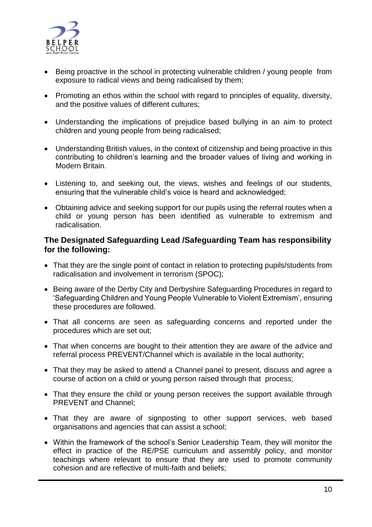

- Being proactive in the school in protecting vulnerable children / young people from exposure to radical views and being radicalised by them;
- Promoting an ethos within the school with regard to principles of equality, diversity, and the positive values of different cultures;
- Understanding the implications of prejudice based bullying in an aim to protect children and young people from being radicalised;
- Understanding British values, in the context of citizenship and being proactive in this contributing to children's learning and the broader values of living and working in Modern Britain.
- Listening to, and seeking out, the views, wishes and feelings of our students, ensuring that the vulnerable child's voice is heard and acknowledged;
- Obtaining advice and seeking support for our pupils using the referral routes when a child or young person has been identified as vulnerable to extremism and radicalisation.

#### **The Designated Safeguarding Lead /Safeguarding Team has responsibility for the following:**

- That they are the single point of contact in relation to protecting pupils/students from radicalisation and involvement in terrorism (SPOC);
- Being aware of the Derby City and Derbyshire Safeguarding Procedures in regard to 'Safeguarding Children and Young People Vulnerable to Violent Extremism', ensuring these procedures are followed.
- That all concerns are seen as safeguarding concerns and reported under the procedures which are set out;
- That when concerns are bought to their attention they are aware of the advice and referral process PREVENT/Channel which is available in the local authority;
- That they may be asked to attend a Channel panel to present, discuss and agree a course of action on a child or young person raised through that process;
- That they ensure the child or young person receives the support available through PREVENT and Channel;
- That they are aware of signposting to other support services, web based organisations and agencies that can assist a school;
- Within the framework of the school's Senior Leadership Team, they will monitor the effect in practice of the RE/PSE curriculum and assembly policy, and monitor teachings where relevant to ensure that they are used to promote community cohesion and are reflective of multi-faith and beliefs;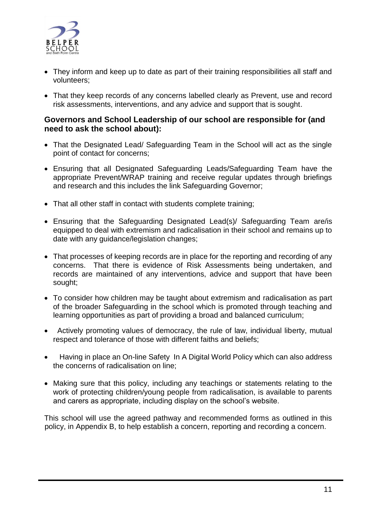

- They inform and keep up to date as part of their training responsibilities all staff and volunteers;
- That they keep records of any concerns labelled clearly as Prevent, use and record risk assessments, interventions, and any advice and support that is sought.

#### **Governors and School Leadership of our school are responsible for (and need to ask the school about):**

- That the Designated Lead/ Safeguarding Team in the School will act as the single point of contact for concerns;
- Ensuring that all Designated Safeguarding Leads/Safeguarding Team have the appropriate Prevent/WRAP training and receive regular updates through briefings and research and this includes the link Safeguarding Governor;
- That all other staff in contact with students complete training;
- Ensuring that the Safeguarding Designated Lead(s)/ Safeguarding Team are/is equipped to deal with extremism and radicalisation in their school and remains up to date with any guidance/legislation changes;
- That processes of keeping records are in place for the reporting and recording of any concerns. That there is evidence of Risk Assessments being undertaken, and records are maintained of any interventions, advice and support that have been sought;
- To consider how children may be taught about extremism and radicalisation as part of the broader Safeguarding in the school which is promoted through teaching and learning opportunities as part of providing a broad and balanced curriculum;
- Actively promoting values of democracy, the rule of law, individual liberty, mutual respect and tolerance of those with different faiths and beliefs;
- Having in place an On-line Safety In A Digital World Policy which can also address the concerns of radicalisation on line;
- Making sure that this policy, including any teachings or statements relating to the work of protecting children/young people from radicalisation, is available to parents and carers as appropriate, including display on the school's website.

This school will use the agreed pathway and recommended forms as outlined in this policy, in Appendix B, to help establish a concern, reporting and recording a concern.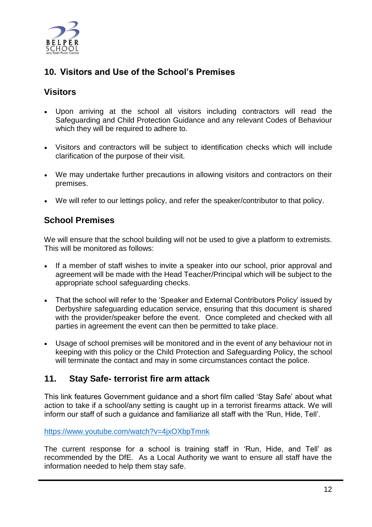

# **10. Visitors and Use of the School's Premises**

## **Visitors**

- Upon arriving at the school all visitors including contractors will read the Safeguarding and Child Protection Guidance and any relevant Codes of Behaviour which they will be required to adhere to.
- Visitors and contractors will be subject to identification checks which will include clarification of the purpose of their visit.
- We may undertake further precautions in allowing visitors and contractors on their premises.
- We will refer to our lettings policy, and refer the speaker/contributor to that policy.

## **School Premises**

We will ensure that the school building will not be used to give a platform to extremists. This will be monitored as follows:

- If a member of staff wishes to invite a speaker into our school, prior approval and agreement will be made with the Head Teacher/Principal which will be subject to the appropriate school safeguarding checks.
- That the school will refer to the 'Speaker and External Contributors Policy' issued by Derbyshire safeguarding education service, ensuring that this document is shared with the provider/speaker before the event. Once completed and checked with all parties in agreement the event can then be permitted to take place.
- Usage of school premises will be monitored and in the event of any behaviour not in keeping with this policy or the Child Protection and Safeguarding Policy, the school will terminate the contact and may in some circumstances contact the police.

## **11. Stay Safe- terrorist fire arm attack**

This link features Government guidance and a short film called 'Stay Safe' about what action to take if a school/any setting is caught up in a terrorist firearms attack. We will inform our staff of such a guidance and familiarize all staff with the 'Run, Hide, Tell'.

<https://www.youtube.com/watch?v=4jxOXbpTmnk>

The current response for a school is training staff in 'Run, Hide, and Tell' as recommended by the DfE. As a Local Authority we want to ensure all staff have the information needed to help them stay safe.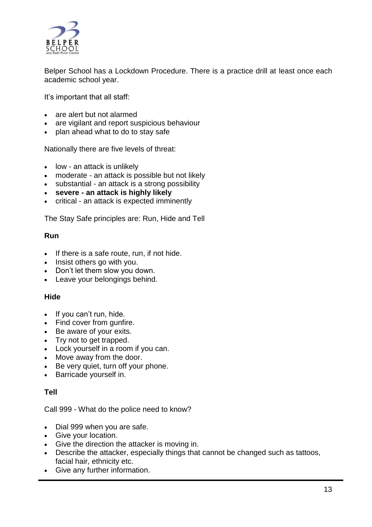

Belper School has a Lockdown Procedure. There is a practice drill at least once each academic school year.

It's important that all staff:

- are alert but not alarmed
- are vigilant and report suspicious behaviour
- plan ahead what to do to stay safe

Nationally there are five levels of threat:

- low an attack is unlikely
- moderate an attack is possible but not likely
- substantial an attack is a strong possibility
- **severe - an attack is highly likely**
- critical an attack is expected imminently

The Stay Safe principles are: Run, Hide and Tell

#### **Run**

- $\bullet$  If there is a safe route, run, if not hide.
- Insist others go with you.
- Don't let them slow you down.
- Leave your belongings behind.

#### **Hide**

- If you can't run, hide.
- Find cover from gunfire.
- Be aware of your exits.
- Try not to get trapped.
- Lock yourself in a room if you can.
- Move away from the door.
- Be very quiet, turn off your phone.
- Barricade yourself in.

#### **Tell**

Call 999 - What do the police need to know?

- Dial 999 when you are safe.
- Give your location.
- Give the direction the attacker is moving in.
- Describe the attacker, especially things that cannot be changed such as tattoos, facial hair, ethnicity etc.
- Give any further information.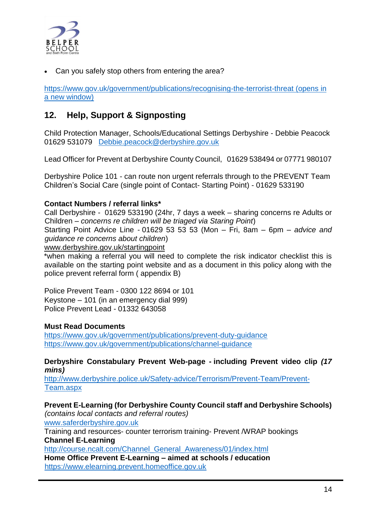

Can you safely stop others from entering the area?

[https://www.gov.uk/government/publications/recognising-the-terrorist-threat \(opens in](https://www.gov.uk/government/publications/recognising-the-terrorist-threat)  [a new window\)](https://www.gov.uk/government/publications/recognising-the-terrorist-threat)

# **12. Help, Support & Signposting**

Child Protection Manager, Schools/Educational Settings Derbyshire - Debbie Peacock 01629 531079 [Debbie.peacock@derbyshire.gov.uk](mailto:Debbie.peacock@derbyshire.gov.uk)

Lead Officer for Prevent at Derbyshire County Council, 01629 538494 or 07771 980107

Derbyshire Police 101 - can route non urgent referrals through to the PREVENT Team Children's Social Care (single point of Contact- Starting Point) - 01629 533190

#### **Contact Numbers / referral links\***

Call Derbyshire - 01629 533190 (24hr, 7 days a week – sharing concerns re Adults or Children – *concerns re children will be triaged via Staring Point*) Starting Point Advice Line - 01629 53 53 53 (Mon – Fri, 8am – 6pm – *advice and* 

*guidance re concerns about children*)

[www.derbyshire.gov.uk/startingpoint](http://www.derbyshire.gov.uk/startingpoint)

\*when making a referral you will need to complete the risk indicator checklist this is available on the starting point website and as a document in this policy along with the police prevent referral form ( appendix B)

Police Prevent Team - 0300 122 8694 or 101 Keystone – 101 (in an emergency dial 999) Police Prevent Lead - 01332 643058

#### **Must Read Documents**

<https://www.gov.uk/government/publications/prevent-duty-guidance> <https://www.gov.uk/government/publications/channel-guidance>

**Derbyshire Constabulary Prevent Web-page - including Prevent video clip** *(17 mins)*

[http://www.derbyshire.police.uk/Safety-advice/Terrorism/Prevent-Team/Prevent-](http://www.derbyshire.police.uk/Safety-advice/Terrorism/Prevent-Team/Prevent-Team.aspx)[Team.aspx](http://www.derbyshire.police.uk/Safety-advice/Terrorism/Prevent-Team/Prevent-Team.aspx)

**Prevent E-Learning (for Derbyshire County Council staff and Derbyshire Schools)** *(contains local contacts and referral routes)*

[www.saferderbyshire.gov.uk](http://www.saferderbyshire.gov.uk/)

Training and resources- counter terrorism training- Prevent /WRAP bookings **Channel E-Learning**

[http://course.ncalt.com/Channel\\_General\\_Awareness/01/index.html](http://course.ncalt.com/Channel_General_Awareness/01/index.html)

**Home Office Prevent E-Learning – aimed at schools / education**  [https://www.elearning.prevent.homeoffice.gov.uk](https://www.elearning.prevent.homeoffice.gov.uk/)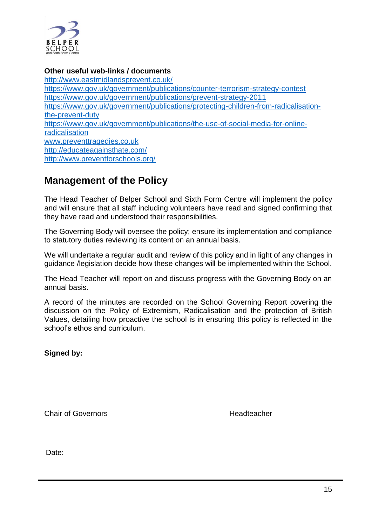

#### **Other useful web-links / documents**

<http://www.eastmidlandsprevent.co.uk/> <https://www.gov.uk/government/publications/counter-terrorism-strategy-contest> <https://www.gov.uk/government/publications/prevent-strategy-2011> [https://www.gov.uk/government/publications/protecting-children-from-radicalisation](https://www.gov.uk/government/publications/protecting-children-from-radicalisation-the-prevent-duty)[the-prevent-duty](https://www.gov.uk/government/publications/protecting-children-from-radicalisation-the-prevent-duty) [https://www.gov.uk/government/publications/the-use-of-social-media-for-online](https://www.gov.uk/government/publications/the-use-of-social-media-for-online-radicalisation)[radicalisation](https://www.gov.uk/government/publications/the-use-of-social-media-for-online-radicalisation) [www.preventtragedies.co.uk](http://www.preventtragedies.co.uk/) <http://educateagainsthate.com/> <http://www.preventforschools.org/>

# **Management of the Policy**

The Head Teacher of Belper School and Sixth Form Centre will implement the policy and will ensure that all staff including volunteers have read and signed confirming that they have read and understood their responsibilities.

The Governing Body will oversee the policy; ensure its implementation and compliance to statutory duties reviewing its content on an annual basis.

We will undertake a regular audit and review of this policy and in light of any changes in guidance /legislation decide how these changes will be implemented within the School.

The Head Teacher will report on and discuss progress with the Governing Body on an annual basis.

A record of the minutes are recorded on the School Governing Report covering the discussion on the Policy of Extremism, Radicalisation and the protection of British Values, detailing how proactive the school is in ensuring this policy is reflected in the school's ethos and curriculum.

**Signed by:** 

Chair of Governors **Headteacher** Headteacher

Date: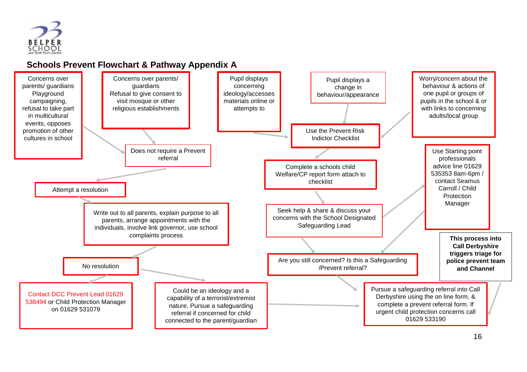

# **Schools Prevent Flowchart & Pathway Appendix A**

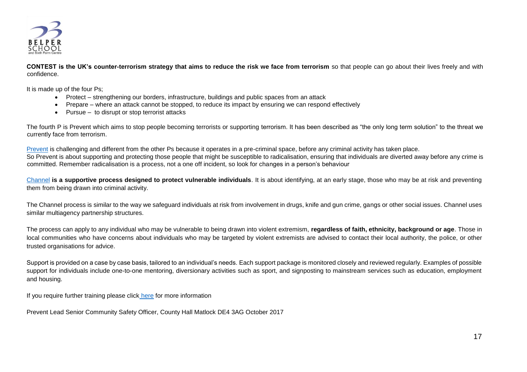

**CONTEST is the UK's counter-terrorism strategy that aims to reduce the risk we face from terrorism** so that people can go about their lives freely and with confidence.

It is made up of the four Ps;

- Protect strengthening our borders, infrastructure, buildings and public spaces from an attack
- Prepare where an attack cannot be stopped, to reduce its impact by ensuring we can respond effectively
- Pursue to disrupt or stop terrorist attacks

The fourth P is Prevent which aims to stop people becoming terrorists or supporting terrorism. It has been described as "the only long term solution" to the threat we currently face from terrorism.

[Prevent](https://www.gov.uk/government/publications/prevent-duty-guidance) is challenging and different from the other Ps because it operates in a pre-criminal space, before any criminal activity has taken place. So Prevent is about supporting and protecting those people that might be susceptible to radicalisation, ensuring that individuals are diverted away before any crime is committed. Remember radicalisation is a process, not a one off incident, so look for changes in a person's behaviour

[Channel](https://www.gov.uk/government/uploads/system/uploads/attachment_data/file/425189/Channel_Duty_Guidance_April_2015.pdf) **is a supportive process designed to protect vulnerable individuals**. It is about identifying, at an early stage, those who may be at risk and preventing them from being drawn into criminal activity.

The Channel process is similar to the way we safeguard individuals at risk from involvement in drugs, knife and gun crime, gangs or other social issues. Channel uses similar multiagency partnership structures.

The process can apply to any individual who may be vulnerable to being drawn into violent extremism, **regardless of faith, ethnicity, background or age**. Those in local communities who have concerns about individuals who may be targeted by violent extremists are advised to contact their local authority, the police, or other trusted organisations for advice.

Support is provided on a case by case basis, tailored to an individual's needs. Each support package is monitored closely and reviewed regularly. Examples of possible support for individuals include one-to-one mentoring, diversionary activities such as sport, and signposting to mainstream services such as education, employment and housing.

If you require further training please click [here](https://www.saferderbyshire.gov.uk/training-and-resources/courses-and-bookings/counter-terrorism-training/counter-terrorism-training.aspx) for more information

Prevent Lead Senior Community Safety Officer, County Hall Matlock DE4 3AG October 2017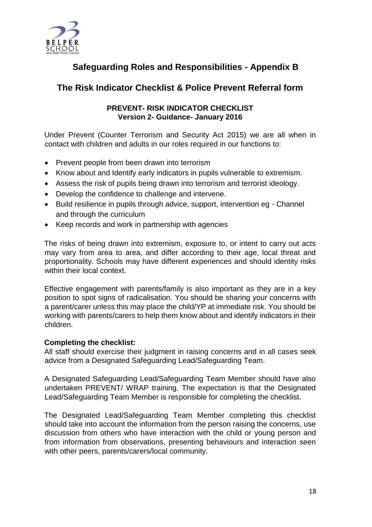

# **Safeguarding Roles and Responsibilities - Appendix B**

# **The Risk Indicator Checklist & Police Prevent Referral form**

#### **PREVENT- RISK INDICATOR CHECKLIST Version 2- Guidance- January 2016**

Under Prevent (Counter Terrorism and Security Act 2015) we are all when in contact with children and adults in our roles required in our functions to:

- Prevent people from been drawn into terrorism
- Know about and Identify early indicators in pupils vulnerable to extremism.
- Assess the risk of pupils being drawn into terrorism and terrorist ideology.
- Develop the confidence to challenge and intervene.
- Build resilience in pupils through advice, support, intervention eg Channel and through the curriculum
- Keep records and work in partnership with agencies

The risks of being drawn into extremism, exposure to, or intent to carry out acts may vary from area to area, and differ according to their age, local threat and proportionality. Schools may have different experiences and should identity risks within their local context.

Effective engagement with parents/family is also important as they are in a key position to spot signs of radicalisation. You should be sharing your concerns with a parent/carer unless this may place the child/YP at immediate risk. You should be working with parents/carers to help them know about and identify indicators in their children.

#### **Completing the checklist:**

All staff should exercise their judgment in raising concerns and in all cases seek advice from a Designated Safeguarding Lead/Safeguarding Team.

A Designated Safeguarding Lead/Safeguarding Team Member should have also undertaken PREVENT/ WRAP training. The expectation is that the Designated Lead/Safeguarding Team Member is responsible for completing the checklist.

The Designated Lead/Safeguarding Team Member completing this checklist should take into account the information from the person raising the concerns, use discussion from others who have interaction with the child or young person and from information from observations, presenting behaviours and interaction seen with other peers, parents/carers/local community.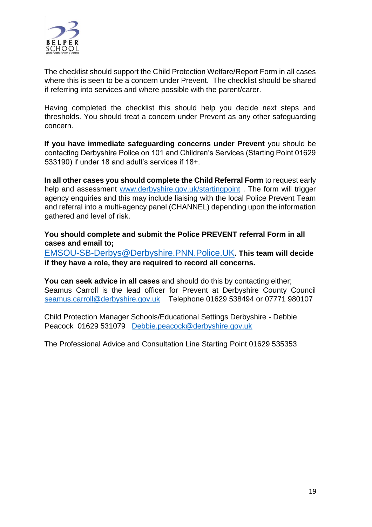

The checklist should support the Child Protection Welfare/Report Form in all cases where this is seen to be a concern under Prevent. The checklist should be shared if referring into services and where possible with the parent/carer.

Having completed the checklist this should help you decide next steps and thresholds. You should treat a concern under Prevent as any other safeguarding concern.

**If you have immediate safeguarding concerns under Prevent** you should be contacting Derbyshire Police on 101 and Children's Services (Starting Point 01629 533190) if under 18 and adult's services if 18+.

**In all other cases you should complete the Child Referral Form** to request early help and assessment [www.derbyshire.gov.uk/startingpoint](http://www.derbyshire.gov.uk/startingpoint). The form will trigger agency enquiries and this may include liaising with the local Police Prevent Team and referral into a multi-agency panel (CHANNEL) depending upon the information gathered and level of risk.

**You should complete and submit the Police PREVENT referral Form in all cases and email to;** 

[EMSOU-SB-Derbys@Derbyshire.PNN.Police.UK](mailto:EMSOU-SB-Derbys@Derbyshire.PNN.Police.UK)**. This team will decide if they have a role, they are required to record all concerns.** 

**You can seek advice in all cases** and should do this by contacting either; Seamus Carroll is the lead officer for Prevent at Derbyshire County Council [seamus.carroll@derbyshire.gov.uk](mailto:seamus.carroll@derbyshire.gov.uk) Telephone 01629 538494 or 07771 980107

Child Protection Manager Schools/Educational Settings Derbyshire - Debbie Peacock 01629 531079 [Debbie.peacock@derbyshire.gov.uk](mailto:Debbie.peacock@derbyshire.gov.uk)

The Professional Advice and Consultation Line Starting Point 01629 535353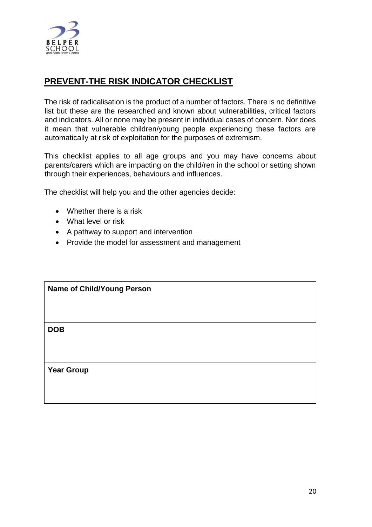

# **PREVENT-THE RISK INDICATOR CHECKLIST**

The risk of radicalisation is the product of a number of factors. There is no definitive list but these are the researched and known about vulnerabilities, critical factors and indicators. All or none may be present in individual cases of concern. Nor does it mean that vulnerable children/young people experiencing these factors are automatically at risk of exploitation for the purposes of extremism.

This checklist applies to all age groups and you may have concerns about parents/carers which are impacting on the child/ren in the school or setting shown through their experiences, behaviours and influences.

The checklist will help you and the other agencies decide:

- Whether there is a risk
- What level or risk
- A pathway to support and intervention
- Provide the model for assessment and management

| <b>Name of Child/Young Person</b> |  |  |  |
|-----------------------------------|--|--|--|
|                                   |  |  |  |
| <b>DOB</b>                        |  |  |  |
|                                   |  |  |  |
| <b>Year Group</b>                 |  |  |  |
|                                   |  |  |  |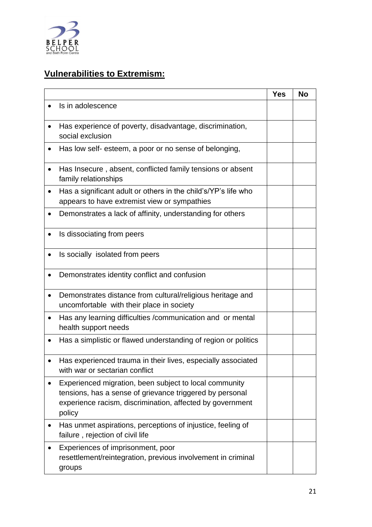

# **Vulnerabilities to Extremism:**

|                                                                                                                                                                                           | <b>Yes</b> | <b>No</b> |
|-------------------------------------------------------------------------------------------------------------------------------------------------------------------------------------------|------------|-----------|
| Is in adolescence<br>$\bullet$                                                                                                                                                            |            |           |
| Has experience of poverty, disadvantage, discrimination,<br>social exclusion                                                                                                              |            |           |
| Has low self- esteem, a poor or no sense of belonging,                                                                                                                                    |            |           |
| Has Insecure, absent, conflicted family tensions or absent<br>family relationships                                                                                                        |            |           |
| Has a significant adult or others in the child's/YP's life who<br>appears to have extremist view or sympathies                                                                            |            |           |
| Demonstrates a lack of affinity, understanding for others                                                                                                                                 |            |           |
| Is dissociating from peers                                                                                                                                                                |            |           |
| Is socially isolated from peers                                                                                                                                                           |            |           |
| Demonstrates identity conflict and confusion                                                                                                                                              |            |           |
| Demonstrates distance from cultural/religious heritage and<br>$\bullet$<br>uncomfortable with their place in society                                                                      |            |           |
| Has any learning difficulties /communication and or mental<br>$\bullet$<br>health support needs                                                                                           |            |           |
| Has a simplistic or flawed understanding of region or politics                                                                                                                            |            |           |
| Has experienced trauma in their lives, especially associated<br>with war or sectarian conflict                                                                                            |            |           |
| Experienced migration, been subject to local community<br>tensions, has a sense of grievance triggered by personal<br>experience racism, discrimination, affected by government<br>policy |            |           |
| Has unmet aspirations, perceptions of injustice, feeling of<br>$\bullet$<br>failure, rejection of civil life                                                                              |            |           |
| Experiences of imprisonment, poor<br>resettlement/reintegration, previous involvement in criminal<br>groups                                                                               |            |           |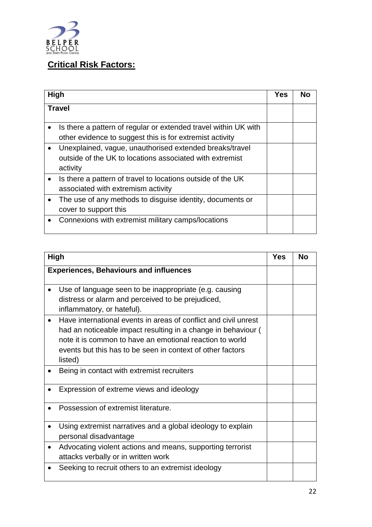

# **Critical Risk Factors:**

|           | High                                                                                                                            | <b>Yes</b> | No |
|-----------|---------------------------------------------------------------------------------------------------------------------------------|------------|----|
|           | <b>Travel</b>                                                                                                                   |            |    |
|           | Is there a pattern of regular or extended travel within UK with<br>other evidence to suggest this is for extremist activity     |            |    |
|           | Unexplained, vague, unauthorised extended breaks/travel<br>outside of the UK to locations associated with extremist<br>activity |            |    |
| $\bullet$ | Is there a pattern of travel to locations outside of the UK<br>associated with extremism activity                               |            |    |
|           | The use of any methods to disguise identity, documents or<br>cover to support this                                              |            |    |
|           | Connexions with extremist military camps/locations                                                                              |            |    |

| <b>High</b>                                                                                                                                                                                                                                                           | <b>Yes</b> | <b>No</b> |
|-----------------------------------------------------------------------------------------------------------------------------------------------------------------------------------------------------------------------------------------------------------------------|------------|-----------|
| <b>Experiences, Behaviours and influences</b>                                                                                                                                                                                                                         |            |           |
| Use of language seen to be inappropriate (e.g. causing<br>distress or alarm and perceived to be prejudiced,<br>inflammatory, or hateful).                                                                                                                             |            |           |
| Have international events in areas of conflict and civil unrest<br>had an noticeable impact resulting in a change in behaviour (<br>note it is common to have an emotional reaction to world<br>events but this has to be seen in context of other factors<br>listed) |            |           |
| Being in contact with extremist recruiters                                                                                                                                                                                                                            |            |           |
| Expression of extreme views and ideology                                                                                                                                                                                                                              |            |           |
| Possession of extremist literature.                                                                                                                                                                                                                                   |            |           |
| Using extremist narratives and a global ideology to explain<br>personal disadvantage                                                                                                                                                                                  |            |           |
| Advocating violent actions and means, supporting terrorist<br>attacks verbally or in written work                                                                                                                                                                     |            |           |
| Seeking to recruit others to an extremist ideology                                                                                                                                                                                                                    |            |           |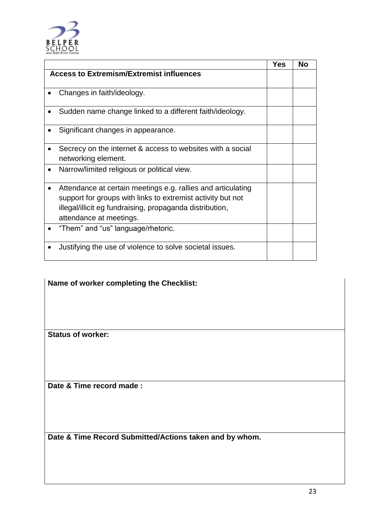

|                                                                                                                                                                                                                    | <b>Yes</b> | <b>No</b> |
|--------------------------------------------------------------------------------------------------------------------------------------------------------------------------------------------------------------------|------------|-----------|
| <b>Access to Extremism/Extremist influences</b>                                                                                                                                                                    |            |           |
| Changes in faith/ideology.                                                                                                                                                                                         |            |           |
| Sudden name change linked to a different faith/ideology.                                                                                                                                                           |            |           |
| Significant changes in appearance.                                                                                                                                                                                 |            |           |
| Secrecy on the internet & access to websites with a social<br>networking element.                                                                                                                                  |            |           |
| Narrow/limited religious or political view.                                                                                                                                                                        |            |           |
| Attendance at certain meetings e.g. rallies and articulating<br>support for groups with links to extremist activity but not<br>illegal/illicit eg fundraising, propaganda distribution,<br>attendance at meetings. |            |           |
| "Them" and "us" language/rhetoric.                                                                                                                                                                                 |            |           |
| Justifying the use of violence to solve societal issues.                                                                                                                                                           |            |           |

# **Name of worker completing the Checklist:**

**Status of worker:**

**Date & Time record made :**

**Date & Time Record Submitted/Actions taken and by whom.**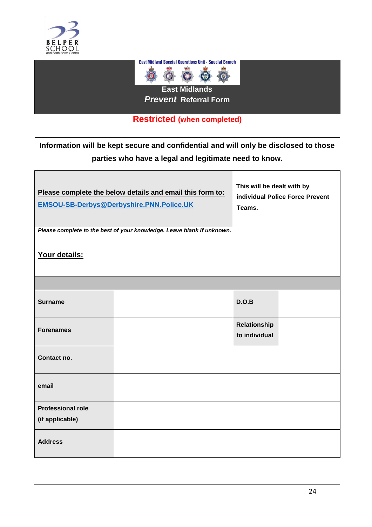

 $\Box$ 



## **Restricted (when completed)**

**Information will be kept secure and confidential and will only be disclosed to those parties who have a legal and legitimate need to know.**

| Please complete the below details and email this form to:<br><b>EMSOU-SB-Derbys@Derbyshire.PNN.Police.UK</b> | This will be dealt with by<br>individual Police Force Prevent<br>Teams. |                               |  |  |  |  |
|--------------------------------------------------------------------------------------------------------------|-------------------------------------------------------------------------|-------------------------------|--|--|--|--|
|                                                                                                              | Please complete to the best of your knowledge. Leave blank if unknown.  |                               |  |  |  |  |
| Your details:                                                                                                |                                                                         |                               |  |  |  |  |
|                                                                                                              |                                                                         |                               |  |  |  |  |
| <b>Surname</b>                                                                                               |                                                                         | D.O.B                         |  |  |  |  |
| <b>Forenames</b>                                                                                             |                                                                         | Relationship<br>to individual |  |  |  |  |
| Contact no.                                                                                                  |                                                                         |                               |  |  |  |  |
| email                                                                                                        |                                                                         |                               |  |  |  |  |
| <b>Professional role</b>                                                                                     |                                                                         |                               |  |  |  |  |
| (if applicable)                                                                                              |                                                                         |                               |  |  |  |  |
| <b>Address</b>                                                                                               |                                                                         |                               |  |  |  |  |

٦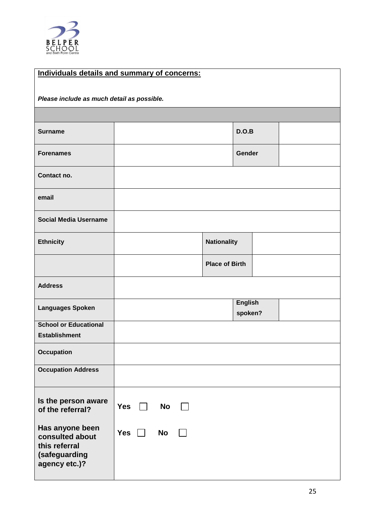

Ш

| Individuals details and summary of concerns:                                          |            |    |  |                       |                           |  |
|---------------------------------------------------------------------------------------|------------|----|--|-----------------------|---------------------------|--|
|                                                                                       |            |    |  |                       |                           |  |
| Please include as much detail as possible.                                            |            |    |  |                       |                           |  |
|                                                                                       |            |    |  |                       |                           |  |
| <b>Surname</b>                                                                        |            |    |  |                       | D.O.B                     |  |
| <b>Forenames</b>                                                                      |            |    |  |                       | Gender                    |  |
| Contact no.                                                                           |            |    |  |                       |                           |  |
| email                                                                                 |            |    |  |                       |                           |  |
| <b>Social Media Username</b>                                                          |            |    |  |                       |                           |  |
| <b>Ethnicity</b>                                                                      |            |    |  | <b>Nationality</b>    |                           |  |
|                                                                                       |            |    |  | <b>Place of Birth</b> |                           |  |
| <b>Address</b>                                                                        |            |    |  |                       |                           |  |
| <b>Languages Spoken</b>                                                               |            |    |  |                       | <b>English</b><br>spoken? |  |
| <b>School or Educational</b>                                                          |            |    |  |                       |                           |  |
| <b>Establishment</b>                                                                  |            |    |  |                       |                           |  |
| <b>Occupation</b>                                                                     |            |    |  |                       |                           |  |
| <b>Occupation Address</b>                                                             |            |    |  |                       |                           |  |
| Is the person aware<br>of the referral?                                               | <b>Yes</b> | No |  |                       |                           |  |
| Has anyone been<br>consulted about<br>this referral<br>(safeguarding<br>agency etc.)? | <b>Yes</b> | No |  |                       |                           |  |